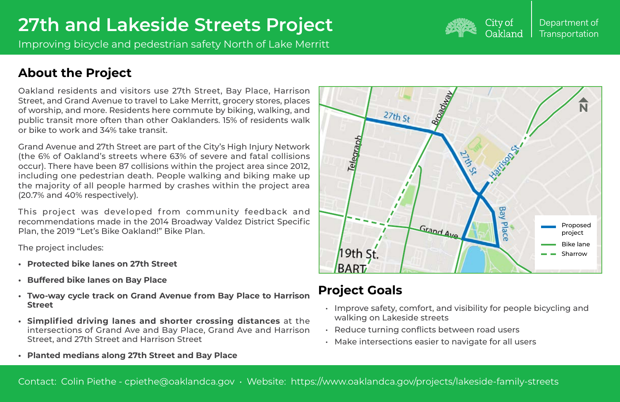## Department of **Transportation**

Improving bicycle and pedestrian safety North of Lake Merritt



## City of Oakland

Oakland residents and visitors use 27th Street, Bay Place, Harrison Street, and Grand Avenue to travel to Lake Merritt, grocery stores, places of worship, and more. Residents here commute by biking, walking, and public transit more often than other Oaklanders. 15% of residents walk or bike to work and 34% take transit.

This project was developed from community feedback and recommendations made in the 2014 Broadway Valdez District Specific Plan, the 2019 "Let's Bike Oakland!" Bike Plan.

Grand Avenue and 27th Street are part of the City's High Injury Network (the 6% of Oakland's streets where 63% of severe and fatal collisions occur). There have been 87 collisions within the project area since 2012, including one pedestrian death. People walking and biking make up the majority of all people harmed by crashes within the project area (20.7% and 40% respectively).

The project includes:

- **• Protected bike lanes on 27th Street**
- **• Buffered bike lanes on Bay Place**
- **• Two-way cycle track on Grand Avenue from Bay Place to Harrison Street**
- **• Simplified driving lanes and shorter crossing distances** at the intersections of Grand Ave and Bay Place, Grand Ave and Harrison Street, and 27th Street and Harrison Street
- **• Planted medians along 27th Street and Bay Place**

• Improve safety, comfort, and visibility for people bicycling and

- walking on Lakeside streets
- Reduce turning conflicts between road users
- Make intersections easier to navigate for all users

## **Project Goals**

## **About the Project**

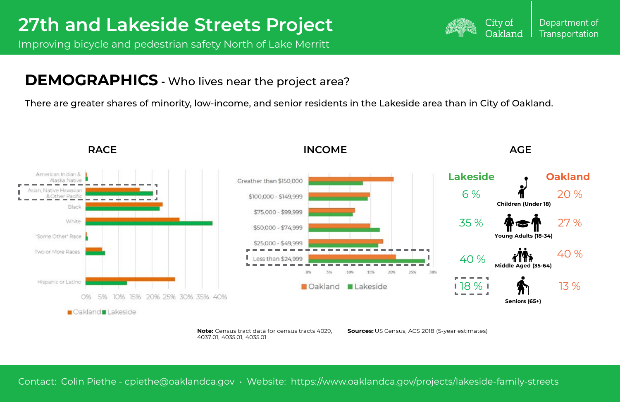Department of **Transportation** 



Improving bicycle and pedestrian safety North of Lake Merritt

Contact: Colin Piethe - cpiethe@oaklandca.gov • Website: https://www.oaklandca.gov/projects/lakeside-family-streets





## **DEMOGRAPHICS -** Who lives near the project area?

There are greater shares of minority, low-income, and senior residents in the Lakeside area than in City of Oakland.

## **RACE INCOME AGE**



**Note:** Census tract data for census tracts 4029, 4037.01, 4035.01, 4035.01

**Sources:** US Census, ACS 2018 (5-year estimates)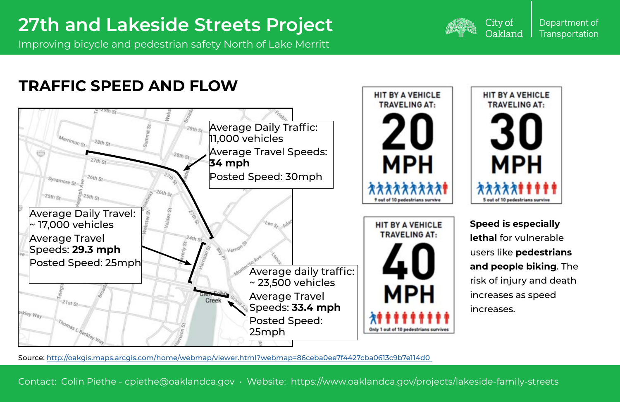Department of **Transportation** 



Improving bicycle and pedestrian safety North of Lake Merritt

Contact: Colin Piethe - cpiethe@oaklandca.gov • Website: https://www.oaklandca.gov/projects/lakeside-family-streets



City of Oakland

## **TRAFFIC SPEED AND FLOW**

**Speed is especially lethal** for vulnerable users like **pedestrians and people biking**. The risk of injury and death increases as speed increases.

Source: [http://oakgis.maps.arcgis.com/home/webmap/viewer.html?webmap=86ceba0ee7f4427cba0613c9b7e114d0](http://oakgis.maps.arcgis.com/home/webmap/viewer.html?webmap=86ceba0ee7f4427cba0613c9b7e114d0  ) 

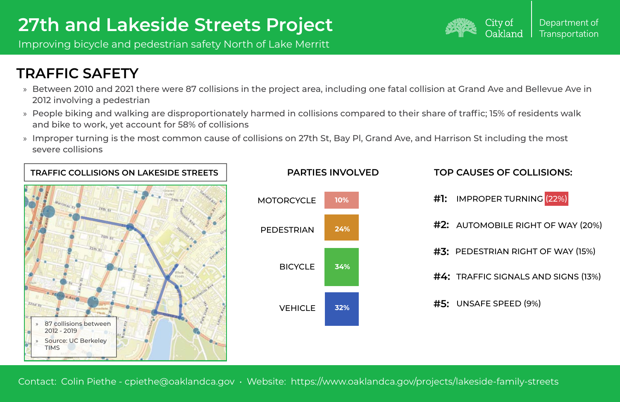Improving bicycle and pedestrian safety North of Lake Merritt

Contact: Colin Piethe - cpiethe@oaklandca.gov • Website: https://www.oaklandca.gov/projects/lakeside-family-streets



## **TRAFFIC SAFETY**

- » Between 2010 and 2021 there were 87 collisions in the project area, including one fatal collision at Grand Ave and Bellevue Ave in 2012 involving a pedestrian
- » People biking and walking are disproportionately harmed in collisions compared to their share of traffic; 15% of residents walk and bike to work, yet account for 58% of collisions
- » Improper turning is the most common cause of collisions on 27th St, Bay Pl, Grand Ave, and Harrison St including the most severe collisions



**#1:**  IMPROPER TURNING (22%)

- **#2:** AUTOMOBILE RIGHT OF WAY (20%)
- **#3:**  PEDESTRIAN RIGHT OF WAY (15%)
- **#4:** TRAFFIC SIGNALS AND SIGNS (13%)
- **#5:** UNSAFE SPEED (9%)

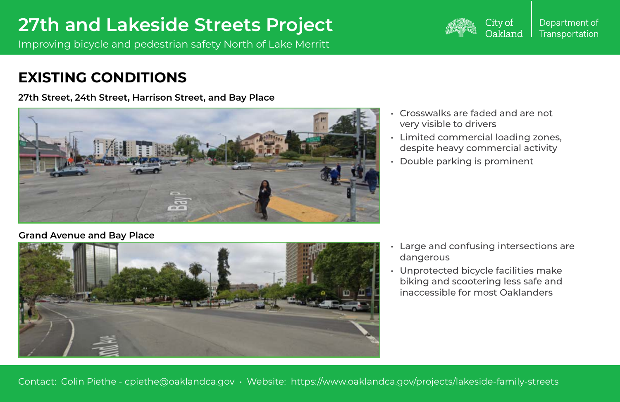Improving bicycle and pedestrian safety North of Lake Merritt

Contact: Colin Piethe - cpiethe@oaklandca.gov • Website: https://www.oaklandca.gov/projects/lakeside-family-streets



## **EXISTING CONDITIONS**

- very visible to drivers
- 
- 

• Crosswalks are faded and are not • Limited commercial loading zones, despite heavy commercial activity • Double parking is prominent

Large and confusing intersections are

- dangerous
- 

• Unprotected bicycle facilities make biking and scootering less safe and inaccessible for most Oaklanders

### **Grand Avenue and Bay Place**



**27th Street, 24th Street, Harrison Street, and Bay Place**

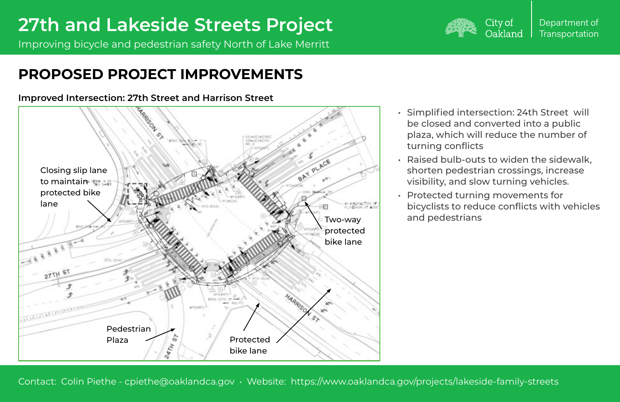Improving bicycle and pedestrian safety North of Lake Merritt



Contact: Colin Piethe - cpiethe@oaklandca.gov • Website: https://www.oaklandca.gov/projects/lakeside-family-streets

**Improved Intersection: 27th Street and Harrison Street**

• Simplified intersection: 24th Street will be closed and converted into a public plaza, which will reduce the number of

• Raised bulb-outs to widen the sidewalk, shorten pedestrian crossings, increase visibility, and slow turning vehicles.

- turning conflicts
- 
- and pedestrians

• Protected turning movements for bicyclists to reduce conflicts with vehicles

## **PROPOSED PROJECT IMPROVEMENTS**

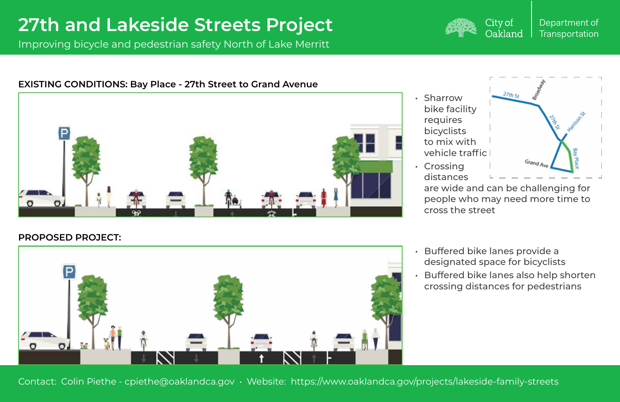Department of **Transportation** 

Improving bicycle and pedestrian safety North of Lake Merritt

Contact: Colin Piethe - cpiethe@oaklandca.gov • Website: https://www.oaklandca.gov/projects/lakeside-family-streets



## City of Oakland

### **EXISTING CONDITIONS: Bay Place - 27th Street to Grand Avenue**



## **PROPOSED PROJECT:**



- 
- 
- Sharrow bike facility requires bicyclists to mix with
- Crossing distances



people who may need more time to cross the street

• Buffered bike lanes provide a designated space for bicyclists • Buffered bike lanes also help shorten crossing distances for pedestrians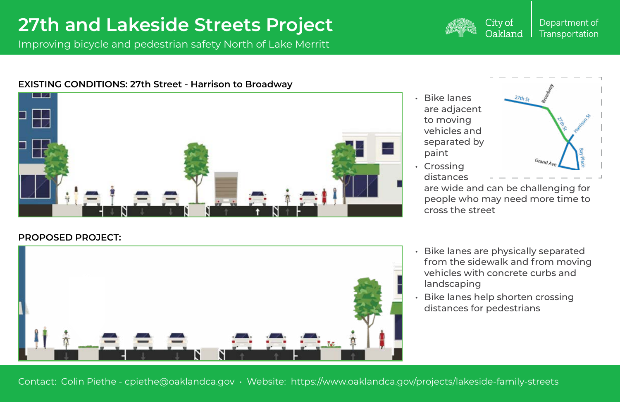Improving bicycle and pedestrian safety North of Lake Merritt

Contact: Colin Piethe - cpiethe@oaklandca.gov • Website: https://www.oaklandca.gov/projects/lakeside-family-streets



### City of Oakland

### **EXISTING CONDITIONS: 27th Street - Harrison to Broadway**



## **PROPOSED PROJECT:**



• Bike lanes are adjacent to moving vehicles and separated by paint • Crossing

distances

are wide and can be challenging for people who may need more time to cross the street

• Bike lanes are physically separated from the sidewalk and from moving vehicles with concrete curbs and

- landscaping
- 

• Bike lanes help shorten crossing distances for pedestrians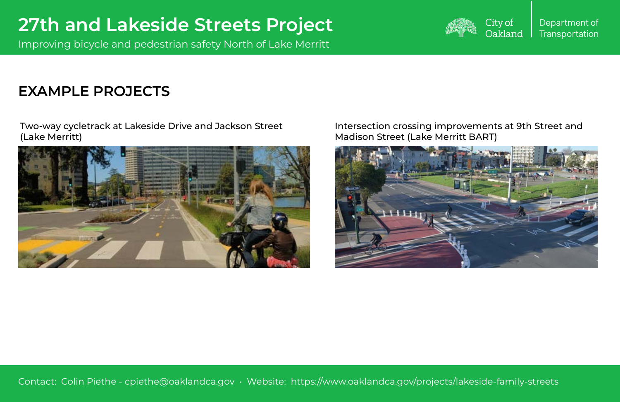Department of **Transportation** 

Improving bicycle and pedestrian safety North of Lake Merritt

Contact: Colin Piethe - cpiethe@oaklandca.gov • Website: https://www.oaklandca.gov/projects/lakeside-family-streets





## **EXAMPLE PROJECTS**

Two-way cycletrack at Lakeside Drive and Jackson Street (Lake Merritt)



### Intersection crossing improvements at 9th Street and Madison Street (Lake Merritt BART)